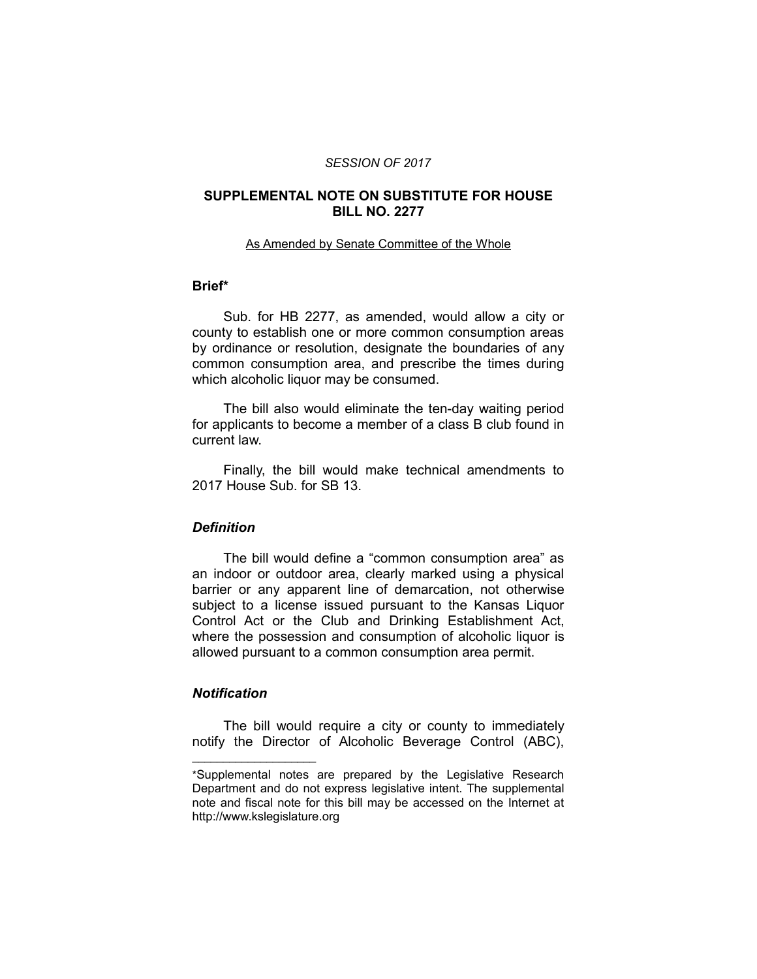### *SESSION OF 2017*

## **SUPPLEMENTAL NOTE ON SUBSTITUTE FOR HOUSE BILL NO. 2277**

#### As Amended by Senate Committee of the Whole

# **Brief\***

Sub. for HB 2277, as amended, would allow a city or county to establish one or more common consumption areas by ordinance or resolution, designate the boundaries of any common consumption area, and prescribe the times during which alcoholic liquor may be consumed.

The bill also would eliminate the ten-day waiting period for applicants to become a member of a class B club found in current law.

Finally, the bill would make technical amendments to 2017 House Sub. for SB 13.

# *Definition*

The bill would define a "common consumption area" as an indoor or outdoor area, clearly marked using a physical barrier or any apparent line of demarcation, not otherwise subject to a license issued pursuant to the Kansas Liquor Control Act or the Club and Drinking Establishment Act, where the possession and consumption of alcoholic liquor is allowed pursuant to a common consumption area permit.

# *Notification*

 $\overline{\phantom{a}}$  , where  $\overline{\phantom{a}}$  , where  $\overline{\phantom{a}}$ 

The bill would require a city or county to immediately notify the Director of Alcoholic Beverage Control (ABC),

<sup>\*</sup>Supplemental notes are prepared by the Legislative Research Department and do not express legislative intent. The supplemental note and fiscal note for this bill may be accessed on the Internet at http://www.kslegislature.org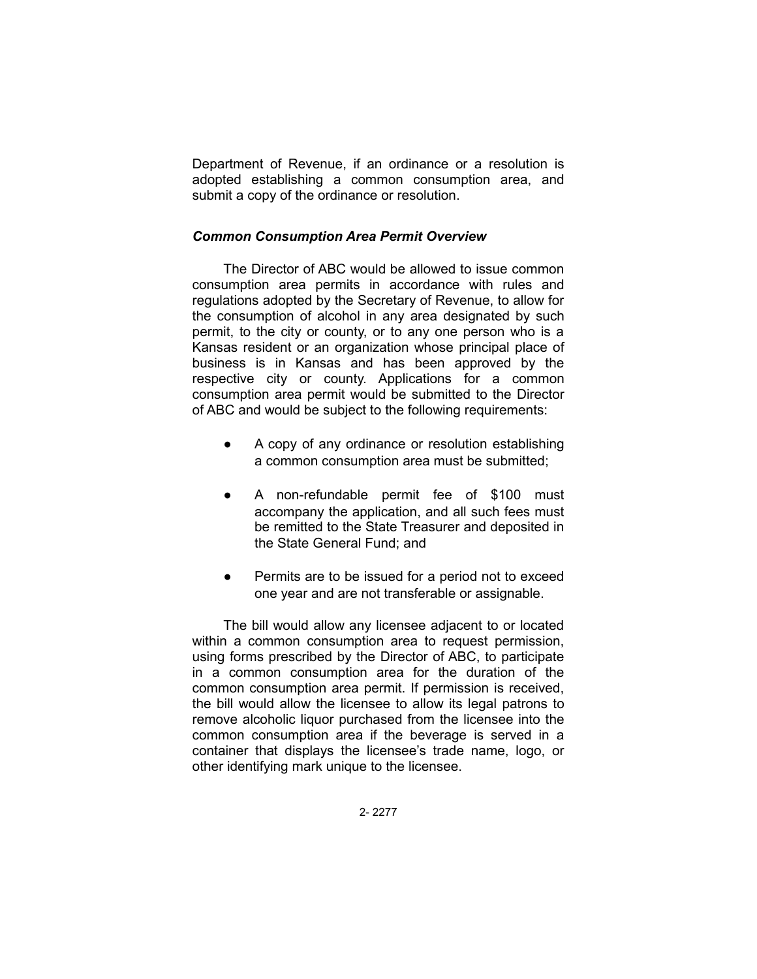Department of Revenue, if an ordinance or a resolution is adopted establishing a common consumption area, and submit a copy of the ordinance or resolution.

### *Common Consumption Area Permit Overview*

The Director of ABC would be allowed to issue common consumption area permits in accordance with rules and regulations adopted by the Secretary of Revenue, to allow for the consumption of alcohol in any area designated by such permit, to the city or county, or to any one person who is a Kansas resident or an organization whose principal place of business is in Kansas and has been approved by the respective city or county. Applications for a common consumption area permit would be submitted to the Director of ABC and would be subject to the following requirements:

- A copy of any ordinance or resolution establishing a common consumption area must be submitted;
- A non-refundable permit fee of \$100 must accompany the application, and all such fees must be remitted to the State Treasurer and deposited in the State General Fund; and
- Permits are to be issued for a period not to exceed one year and are not transferable or assignable.

The bill would allow any licensee adjacent to or located within a common consumption area to request permission, using forms prescribed by the Director of ABC, to participate in a common consumption area for the duration of the common consumption area permit. If permission is received, the bill would allow the licensee to allow its legal patrons to remove alcoholic liquor purchased from the licensee into the common consumption area if the beverage is served in a container that displays the licensee's trade name, logo, or other identifying mark unique to the licensee.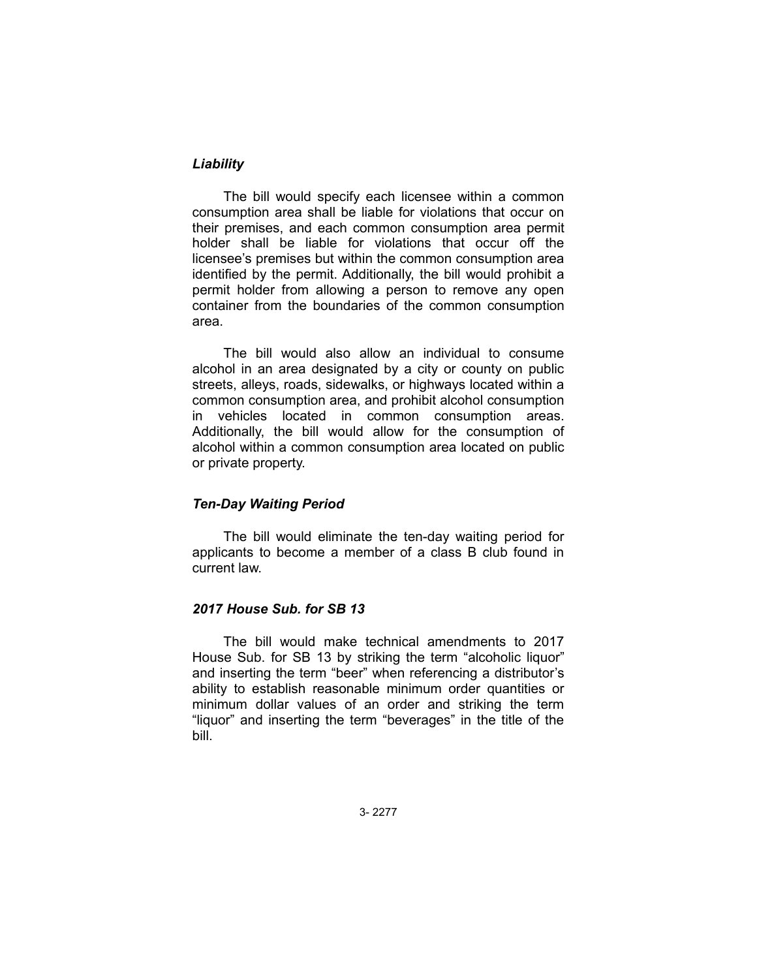# *Liability*

The bill would specify each licensee within a common consumption area shall be liable for violations that occur on their premises, and each common consumption area permit holder shall be liable for violations that occur off the licensee's premises but within the common consumption area identified by the permit. Additionally, the bill would prohibit a permit holder from allowing a person to remove any open container from the boundaries of the common consumption area.

The bill would also allow an individual to consume alcohol in an area designated by a city or county on public streets, alleys, roads, sidewalks, or highways located within a common consumption area, and prohibit alcohol consumption in vehicles located in common consumption areas. Additionally, the bill would allow for the consumption of alcohol within a common consumption area located on public or private property.

# *Ten-Day Waiting Period*

The bill would eliminate the ten-day waiting period for applicants to become a member of a class B club found in current law.

## *2017 House Sub. for SB 13*

The bill would make technical amendments to 2017 House Sub. for SB 13 by striking the term "alcoholic liquor" and inserting the term "beer" when referencing a distributor's ability to establish reasonable minimum order quantities or minimum dollar values of an order and striking the term "liquor" and inserting the term "beverages" in the title of the bill.

3- 2277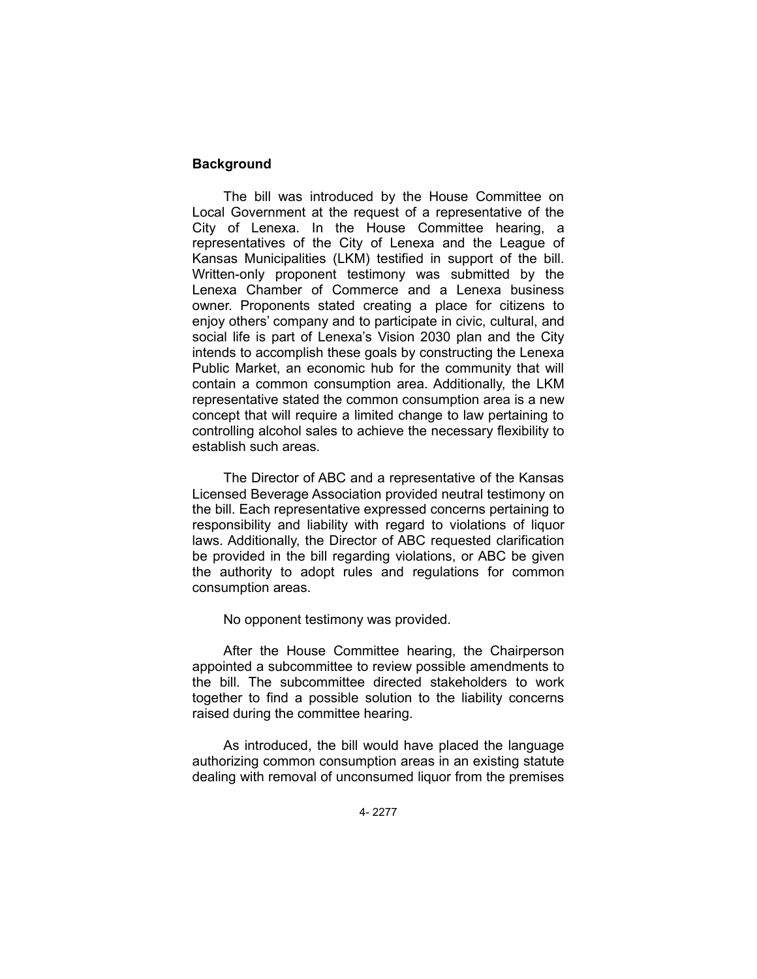# **Background**

The bill was introduced by the House Committee on Local Government at the request of a representative of the City of Lenexa. In the House Committee hearing, a representatives of the City of Lenexa and the League of Kansas Municipalities (LKM) testified in support of the bill. Written-only proponent testimony was submitted by the Lenexa Chamber of Commerce and a Lenexa business owner. Proponents stated creating a place for citizens to enjoy others' company and to participate in civic, cultural, and social life is part of Lenexa's Vision 2030 plan and the City intends to accomplish these goals by constructing the Lenexa Public Market, an economic hub for the community that will contain a common consumption area. Additionally, the LKM representative stated the common consumption area is a new concept that will require a limited change to law pertaining to controlling alcohol sales to achieve the necessary flexibility to establish such areas.

The Director of ABC and a representative of the Kansas Licensed Beverage Association provided neutral testimony on the bill. Each representative expressed concerns pertaining to responsibility and liability with regard to violations of liquor laws. Additionally, the Director of ABC requested clarification be provided in the bill regarding violations, or ABC be given the authority to adopt rules and regulations for common consumption areas.

No opponent testimony was provided.

After the House Committee hearing, the Chairperson appointed a subcommittee to review possible amendments to the bill. The subcommittee directed stakeholders to work together to find a possible solution to the liability concerns raised during the committee hearing.

As introduced, the bill would have placed the language authorizing common consumption areas in an existing statute dealing with removal of unconsumed liquor from the premises